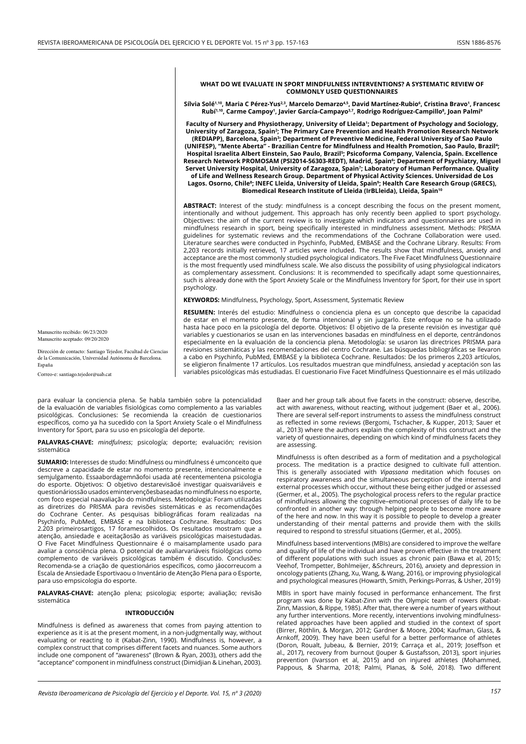## **WHAT DO WE EVALUATE IN SPORT MINDFULNESS INTERVENTIONS? A SYSTEMATIC REVIEW OF COMMONLY USED QUESTIONNAIRES**

**Sílvia Solé1,10, Maria C Pérez-Yus2,3, Marcelo Demarzo4,5, David Martínez-Rubio6 , Cristina Bravo1 , Francesc Rubí1,10, Carme Campoy1 , Javier García-Campayo3,7, Rodrigo Rodríguez-Campillo8 , Joan Palmi9**

**Faculty of Nursery and Physiotherapy, University of Lleida1 ; Department of Psychology and Sociology,**  University of Zaragoza, Spain<sup>2</sup>; The Primary Care Prevention and Health Promotion Research Network **(REDIAPP), Barcelona, Spain3 ; Department of Preventive Medicine, Federal University of Sao Paulo (UNIFESP), "Mente Aberta" - Brazilian Centre for Mindfulness and Health Promotion, Sao Paulo, Brazil4 ; Hospital Israelita Albert Einstein, Sao Paulo, Brazil5 ; Psicoforma Company, Valencia, Spain. Excellence Research Network PROMOSAM (PSI2014-56303-REDT), Madrid, Spain6 ; Department of Psychiatry, Miguel Servet University Hospital, University of Zaragoza, Spain7 ; Laboratory of Human Performance. Quality of Life and Wellness Research Group. Department of Physical Activity Sciences. Universidad de Los**  Lagos. Osorno, Chile<sup>8</sup>; INEFC Lleida, University of Lleida, Spain<sup>9</sup>; Health Care Research Group (GRECS), **Biomedical Research Institute of Lleida (IrBLleida), Lleida, Spain10**

**ABSTRACT:** Interest of the study: mindfulness is a concept describing the focus on the present moment, intentionally and without judgement. This approach has only recently been applied to sport psychology. Objectives: the aim of the current review is to investigate which indicators and questionnaires are used in mindfulness research in sport, being specifically interested in mindfulness assessment. Methods: PRISMA guidelines for systematic reviews and the recommendations of the Cochrane Collaboration were used. Literature searches were conducted in Psychinfo, PubMed, EMBASE and the Cochrane Library. Results: From 2,203 records initially retrieved, 17 articles were included. The results show that mindfulness, anxiety and acceptance are the most commonly studied psychological indicators. The Five Facet Mindfulness Questionnaire is the most frequently used mindfulness scale. We also discuss the possibility of using physiological indicators as complementary assessment. Conclusions: It is recommended to specifically adapt some questionnaires, such is already done with the Sport Anxiety Scale or the Mindfulness Inventory for Sport, for their use in sport psychology.

**KEYWORDS:** Mindfulness, Psychology, Sport, Assessment, Systematic Review

**RESUMEN:** Interés del estudio: Mindfulness o conciencia plena es un concepto que describe la capacidad de estar en el momento presente, de forma intencional y sin juzgarlo. Este enfoque no se ha utilizado hasta hace poco en la psicología del deporte. Objetivos: El objetivo de la presente revisión es investigar qué variables y cuestionarios se usan en las intervenciones basadas en mindfulness en el deporte, centrándonos especialmente en la evaluación de la conciencia plena. Metodología: se usaron las directrices PRISMA para revisiones sistemáticas y las recomendaciones del centro Cochrane. Las búsquedas bibliográficas se llevaron a cabo en Psychinfo, PubMed, EMBASE y la biblioteca Cochrane. Resultados: De los primeros 2,203 artículos, se eligieron finalmente 17 artículos. Los resultados muestran que mindfulness, ansiedad y aceptación son las variables psicológicas más estudiadas. El cuestionario Five Facet Mindfulness Questionnaire es el más utilizado

Manuscrito recibido: 06/23/2020 Manuscrito aceptado: 09/20/2020

Dirección de contacto: Santiago Tejedor, Facultad de Ciencias de la Comunicación, Universidad Autónoma de Barcelona. España

Correo-e: santiago.tejedor@uab.cat

para evaluar la conciencia plena. Se habla también sobre la potencialidad de la evaluación de variables fisiológicas como complemento a las variables psicológicas. Conclusiones: Se recomienda la creación de cuestionarios específicos, como ya ha sucedido con la Sport Anxiety Scale o el Mindfulness Inventory for Sport, para su uso en psicología del deporte.

**PALAVRAS-CHAVE:** *mindfulness*; psicología; deporte; evaluación; revision sistemática

**SUMARIO:** Interesses de studo: Mindfulness ou mindfulness é umconceito que descreve a capacidade de estar no momento presente, intencionalmente e semjulgamento. Essaabordagemnãofoi usada até recentementena psicologia do esporte. Objetivos: O objetivo destarevisãoé investigar quaisvariáveis e questionáriossão usados emintervençõesbaseadas no mindfulness no esporte, com foco especial naavaliação do mindfulness. Metodologia: Foram utilizadas as diretrizes do PRISMA para revisões sistemáticas e as recomendações do Cochrane Center. As pesquisas bibliográficas foram realizadas na Psychinfo, PubMed, EMBASE e na biblioteca Cochrane. Resultados: Dos 2.203 primeirosartigos, 17 foramescolhidos. Os resultados mostram que a atenção, ansiedade e aceitaçãosão as variáveis psicológicas maisestudadas. O Five Facet Mindfulness Questionnaire é o maisamplamente usado para avaliar a consciência plena. O potencial de avaliarvariáveis fisiológicas como complemento de variáveis psicológicas também é discutido. Conclusões: Recomenda-se a criação de questionários específicos, como jáocorreucom a Escala de Ansiedade Esportivaou o Inventário de Atenção Plena para o Esporte, para uso empsicologia do esporte.

**PALAVRAS-CHAVE:** atenção plena; psicologia; esporte; avaliação; revisão sistemática

## **INTRODUCCIÓN**

Mindfulness is defined as awareness that comes from paying attention to experience as it is at the present moment, in a non-judgmentally way, without evaluating or reacting to it (Kabat-Zinn, 1990). Mindfulness is, however, a complex construct that comprises different facets and nuances. Some authors include one component of "awareness" (Brown & Ryan, 2003), others add the "acceptance" component in mindfulness construct (Dimidjian & Linehan, 2003).

Baer and her group talk about five facets in the construct: observe, describe, act with awareness, without reacting, without judgement (Baer et al., 2006). There are several self-report instruments to assess the mindfulness construct as reflected in some reviews (Bergomi, Tschacher, & Kupper, 2013; Sauer et al., 2013) where the authors explain the complexity of this construct and the variety of questionnaires, depending on which kind of mindfulness facets they are assessing.

Mindfulnesss is often described as a form of meditation and a psychological process. The meditation is a practice designed to cultivate full attention. This is generally associated with *Vipassana* meditation which focuses on respiratory awareness and the simultaneous perception of the internal and external processes which occur, without these being either judged or assessed (Germer, et al., 2005). The psychological process refers to the regular practice of mindfulness allowing the cognitive–emotional processes of daily life to be confronted in another way: through helping people to become more aware of the here and now. In this way it is possible to people to develop a greater understanding of their mental patterns and provide them with the skills required to respond to stressful situations (Germer, et al., 2005).

Mindfulness based interventions (MBIs) are considered to improve the welfare and quality of life of the individual and have proven effective in the treatment of different populations with such issues as chronic pain (Bawa et al, 2015; Veehof, Trompetter, Bohlmeijer, &Schreurs, 2016), anxiety and depression in oncology patients (Zhang, Xu, Wang, & Wang, 2016), or improving physiological and psychological measures (Howarth, Smith, Perkings-Porras, & Usher, 2019)

MBIs in sport have mainly focused in performance enhancement. The first program was done by Kabat-Zinn with the Olympic team of rowers (Kabat-Zinn, Massion, & Rippe, 1985). After that, there were a number of years without any further interventions. More recently, interventions involving mindfulnessrelated approaches have been applied and studied in the context of sport (Birrer, Röthlin, & Morgan, 2012; Gardner & Moore, 2004; Kaufman, Glass, & Arnkoff, 2009). They have been useful for a better performance of athletes (Doron, Roualt, Jubeau, & Bernier, 2019; Carraça et al., 2019; Joseffson et al., 2017), recovery from burnout (Jouper & Gustafsson, 2013), sport injuries prevention (Ivarsson et al, 2015) and on injured athletes (Mohammed, Pappous, & Sharma, 2018; Palmi, Planas, & Solé, 2018). Two different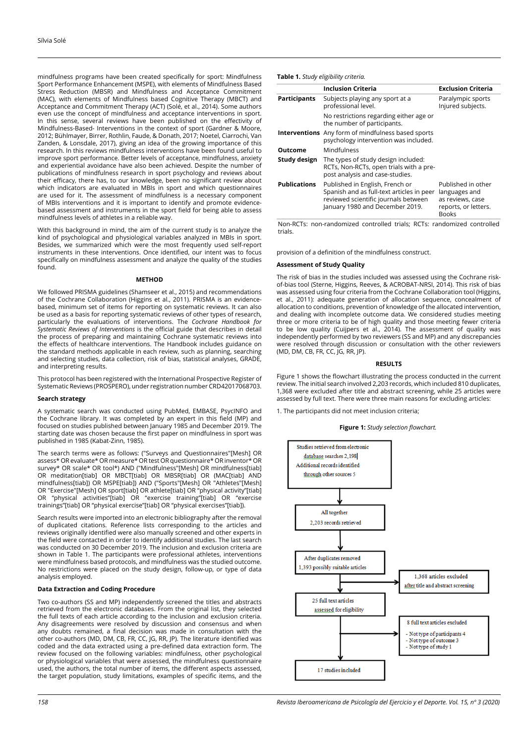mindfulness programs have been created specifically for sport: Mindfulness Sport Performance Enhancement (MSPE), with elements of Mindfulness Based Stress Reduction (MBSR) and Mindfulness and Acceptance Commitment (MAC), with elements of Mindfulness based Cognitive Therapy (MBCT) and Acceptance and Commitment Therapy (ACT) (Solé, et al., 2014). Some authors even use the concept of mindfulness and acceptance interventions in sport. In this sense, several reviews have been published on the effectivity of Mindfulness-Based- Interventions in the context of sport (Gardner & Moore, 2012; Bühlmayer, Birrer, Rothlin, Faude, & Donath, 2017; Noetel, Ciarrochi, Van Zanden, & Lonsdale, 2017), giving an idea of the growing importance of this research. In this reviews mindfulness interventions have been found useful to improve sport performance. Better levels of acceptance, mindfulness, anxiety and experiential avoidance have also been achieved. Despite the number of publications of mindfulness research in sport psychology and reviews about their efficacy, there has, to our knowledge, been no significant review about which indicators are evaluated in MBIs in sport and which questionnaires are used for it. The assessment of mindfulness is a necessary component of MBIs interventions and it is important to identify and promote evidencebased assessment and instruments in the sport field for being able to assess mindfulness levels of athletes in a reliable way.

With this background in mind, the aim of the current study is to analyze the kind of psychological and physiological variables analyzed in MBIs in sport. Besides, we summarized which were the most frequently used self-report instruments in these interventions. Once identified, our intent was to focus specifically on mindfulness assessment and analyze the quality of the studies found.

## **METHOD**

We followed PRISMA guidelines (Shamseer et al., 2015) and recommendations of the Cochrane Collaboration (Higgins et al., 2011). PRISMA is an evidencebased, minimum set of items for reporting on systematic reviews. It can also be used as a basis for reporting systematic reviews of other types of research, particularly the evaluations of interventions. The *Cochrane Handbook for Systematic Reviews of Interventions* is the official guide that describes in detail the process of preparing and maintaining Cochrane systematic reviews into the effects of healthcare interventions. The Handbook includes guidance on the standard methods applicable in each review, such as planning, searching and selecting studies, data collection, risk of bias, statistical analyses, GRADE, and interpreting results.

This protocol has been registered with the International Prospective Register of Systematic Reviews (PROSPERO), under registration number CRD42017068703.

## **Search strategy**

A systematic search was conducted using PubMed, EMBASE, PsycINFO and the Cochrane library. It was completed by an expert in this field (MP) and focused on studies published between January 1985 and December 2019. The starting date was chosen because the first paper on mindfulness in sport was published in 1985 (Kabat-Zinn, 1985).

The search terms were as follows: ("Surveys and Questionnaires"[Mesh] OR assess\* OR evaluate\* OR measure\* OR test OR questionnaire\* OR inventor\* OR survey\* OR scale\* OR tool\*) AND ("Mindfulness"[Mesh] OR mindfulness[tiab] OR meditation[tiab] OR MBCT[tiab] OR MBSR[tiab] OR (MAC[tiab] AND mindfulness[tiab]) OR MSPE[tiab]) AND ("Sports"[Mesh] OR "Athletes"[Mesh] OR "Exercise"[Mesh] OR sport[tiab] OR athlete[tiab] OR "physical activity"[tiab] OR "physical activities"[tiab] OR "exercise training"[tiab] OR "exercise trainings"[tiab] OR "physical exercise"[tiab] OR "physical exercises"[tiab]).

Search results were imported into an electronic bibliography after the removal of duplicated citations. Reference lists corresponding to the articles and reviews originally identified were also manually screened and other experts in the field were contacted in order to identify additional studies. The last search was conducted on 30 December 2019. The inclusion and exclusion criteria are shown in Table 1. The participants were professional athletes, interventions were mindfulness based protocols, and mindfulness was the studied outcome. No restrictions were placed on the study design, follow-up, or type of data analysis employed.

## **Data Extraction and Coding Procedure**

Two co-authors (SS and MP) independently screened the titles and abstracts retrieved from the electronic databases. From the original list, they selected the full texts of each article according to the inclusion and exclusion criteria. Any disagreements were resolved by discussion and consensus and when any doubts remained, a final decision was made in consultation with the other co-authors (MD, DM, CB, FR, CC, JG, RR, JP). The literature identified was coded and the data extracted using a pre-defined data extraction form. The review focused on the following variables: mindfulness, other psychological or physiological variables that were assessed, the mindfulness questionnaire used, the authors, the total number of items, the different aspects assessed, the target population, study limitations, examples of specific items, and the

# **Table 1.** *Study eligibility criteria.*

|                     | <b>Inclusion Criteria</b>                                                                                                                               | <b>Exclusion Criteria</b>                                                                       |  |  |
|---------------------|---------------------------------------------------------------------------------------------------------------------------------------------------------|-------------------------------------------------------------------------------------------------|--|--|
| <b>Participants</b> | Subjects playing any sport at a<br>professional level.                                                                                                  | Paralympic sports<br>Injured subjects.                                                          |  |  |
|                     | No restrictions regarding either age or<br>the number of participants.                                                                                  |                                                                                                 |  |  |
|                     | <b>Interventions</b> Any form of mindfulness based sports<br>psychology intervention was included.                                                      |                                                                                                 |  |  |
| Outcome             | Mindfulness                                                                                                                                             |                                                                                                 |  |  |
| Study design        | The types of study design included:<br>RCTs, Non-RCTs, open trials with a pre-<br>post analysis and case-studies.                                       |                                                                                                 |  |  |
| <b>Publications</b> | Published in English, French or<br>Spanish and as full-text articles in peer<br>reviewed scientific journals between<br>January 1980 and December 2019. | Published in other<br>languages and<br>as reviews, case<br>reports, or letters.<br><b>Books</b> |  |  |

Non-RCTs: non-randomized controlled trials; RCTs: randomized controlled trials.

provision of a definition of the mindfulness construct.

## **Assessment of Study Quality**

The risk of bias in the studies included was assessed using the Cochrane riskof-bias tool (Sterne, Higgins, Reeves, & ACROBAT-NRSI, 2014). This risk of bias was assessed using four criteria from the Cochrane Collaboration tool (Higgins, et al., 2011): adequate generation of allocation sequence, concealment of allocation to conditions, prevention of knowledge of the allocated intervention, and dealing with incomplete outcome data. We considered studies meeting three or more criteria to be of high quality and those meeting fewer criteria to be low quality (Cuijpers et al., 2014). The assessment of quality was independently performed by two reviewers (SS and MP) and any discrepancies were resolved through discussion or consultation with the other reviewers (MD, DM, CB, FR, CC, JG, RR, JP).

## **RESULTS**

Figure 1 shows the flowchart illustrating the process conducted in the current review. The initial search involved 2,203 records, which included 810 duplicates, 1,368 were excluded after title and abstract screening, while 25 articles were assessed by full text. There were three main reasons for excluding articles:

1. The participants did not meet inclusion criteria;

**Figure 1:** *Study selection flowchart.*



*158 Revista Iberoamericana de Psicología del Ejercicio y el Deporte. Vol. 15, nº 3 (2020)*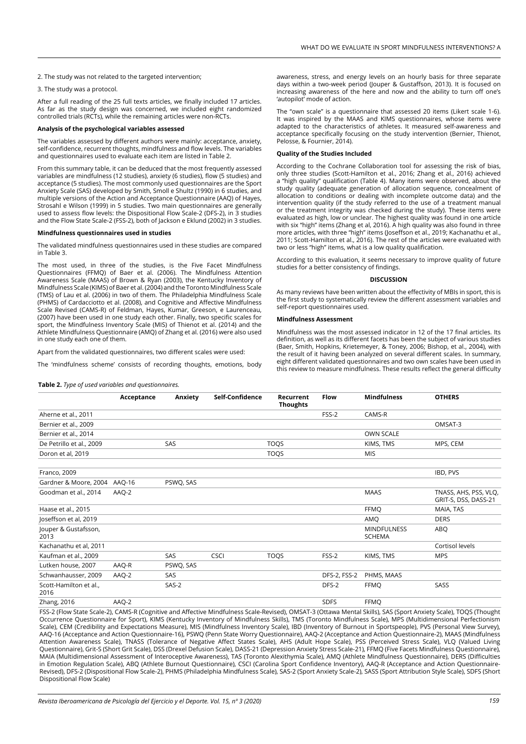2. The study was not related to the targeted intervention;

3. The study was a protocol.

After a full reading of the 25 full texts articles, we finally included 17 articles. As far as the study design was concerned, we included eight randomized controlled trials (RCTs), while the remaining articles were non-RCTs.

## **Analysis of the psychological variables assessed**

The variables assessed by different authors were mainly: acceptance, anxiety, self-confidence, recurrent thoughts, mindfulness and flow levels. The variables and questionnaires used to evaluate each item are listed in Table 2.

From this summary table, it can be deduced that the most frequently assessed variables are mindfulness (12 studies), anxiety (6 studies), flow (5 studies) and acceptance (5 studies). The most commonly used questionnaires are the Sport Anxiety Scale (SAS) developed by Smith, Smoll e Shultz (1990) in 6 studies, and multiple versions of the Action and Acceptance Questionnaire (AAQ) of Hayes, Strosahl e Wilson (1999) in 5 studies. Two main questionnaires are generally used to assess flow levels: the Dispositional Flow Scale-2 (DFS-2), in 3 studies and the Flow State Scale-2 (FSS-2), both of Jackson e Eklund (2002) in 3 studies.

## **Mindfulness questionnaires used in studies**

The validated mindfulness questionnaires used in these studies are compared in Table 3.

The most used, in three of the studies, is the Five Facet Mindfulness Questionnaires (FFMQ) of Baer et al. (2006). The Mindfulness Attention Awareness Scale (MAAS) of Brown & Ryan (2003), the Kentucky Inventory of Mindfulness Scale (KIMS) of Baer et al. (2004) and the Toronto Mindfulness Scale (TMS) of Lau et al. (2006) in two of them. The Philadelphia Mindfulness Scale (PHMS) of Cardacciotto et al. (2008), and Cognitive and Affective Mindfulness Scale Revised (CAMS-R) of Feldman, Hayes, Kumar, Greeson, e Laurenceau, (2007) have been used in one study each other. Finally, two specific scales for sport, the Mindfulness Inventory Scale (MIS) of Thienot et al. (2014) and the Athlete Mindfulness Questionnaire (AMQ) of Zhang et al. (2016) were also used in one study each one of them.

Apart from the validated questionnaires, two different scales were used:

The 'mindfulness scheme' consists of recording thoughts, emotions, body

**Table 2.** *Type of used variables and questionnaires.*

awareness, stress, and energy levels on an hourly basis for three separate days within a two-week period (Jouper & Gustaffson, 2013). It is focused on increasing awareness of the here and now and the ability to turn off one's 'autopilot' mode of action.

The "own scale" is a questionnaire that assessed 20 items (Likert scale 1-6). It was inspired by the MAAS and KIMS questionnaires, whose items were adapted to the characteristics of athletes. It measured self-awareness and acceptance specifically focusing on the study intervention (Bernier, Thienot, Pelosse, & Fournier, 2014).

## **Quality of the Studies Included**

According to the Cochrane Collaboration tool for assessing the risk of bias, only three studies (Scott-Hamilton et al., 2016; Zhang et al., 2016) achieved a "high quality" qualification (Table 4). Many items were observed, about the study quality (adequate generation of allocation sequence, concealment of allocation to conditions or dealing with incomplete outcome data) and the intervention quality (if the study referred to the use of a treatment manual or the treatment integrity was checked during the study). These items were evaluated as high, low or unclear. The highest quality was found in one article with six "high" items (Zhang et al, 2016). A high quality was also found in three more articles, with three "high" items (Joseffson et al., 2019; Kachanathu et al., 2011; Scott-Hamilton et al., 2016). The rest of the articles were evaluated with two or less "high" items, what is a low quality qualification.

According to this evaluation, it seems necessary to improve quality of future studies for a better consistency of findings.

### **DISCUSSION**

As many reviews have been written about the effectivity of MBIs in sport, this is the first study to systematically review the different assessment variables and self-report questionnaires used.

#### **Mindfulness Assessment**

Mindfulness was the most assessed indicator in 12 of the 17 final articles. Its definition, as well as its different facets has been the subject of various studies (Baer, Smith, Hopkins, Krietemeyer, & Toney, 2006; Bishop, et al., 2004), with the result of it having been analyzed on several different scales. In summary, eight different validated questionnaires and two own scales have been used in this review to measure mindfulness. These results reflect the general difficulty

|                                | Acceptance | Anxiety   | Self-Confidence | Recurrent<br><b>Thoughts</b> | <b>Flow</b>         | <b>Mindfulness</b>                  | <b>OTHERS</b>                                                                                                                                                        |
|--------------------------------|------------|-----------|-----------------|------------------------------|---------------------|-------------------------------------|----------------------------------------------------------------------------------------------------------------------------------------------------------------------|
| Aherne et al., 2011            |            |           |                 |                              | FSS-2               | CAMS-R                              |                                                                                                                                                                      |
| Bernier et al., 2009           |            |           |                 |                              |                     |                                     | OMSAT-3                                                                                                                                                              |
| Bernier et al., 2014           |            |           |                 |                              |                     | <b>OWN SCALE</b>                    |                                                                                                                                                                      |
| De Petrillo et al., 2009       |            | SAS       |                 | <b>TOQS</b>                  |                     | KIMS, TMS                           | MPS, CEM                                                                                                                                                             |
| Doron et al, 2019              |            |           |                 | <b>TOQS</b>                  |                     | <b>MIS</b>                          |                                                                                                                                                                      |
| Franco, 2009                   |            |           |                 |                              |                     |                                     | IBD, PVS                                                                                                                                                             |
| Gardner & Moore, 2004 AAQ-16   |            | PSWQ, SAS |                 |                              |                     |                                     |                                                                                                                                                                      |
| Goodman et al., 2014           | AAQ-2      |           |                 |                              |                     | <b>MAAS</b>                         | TNASS, AHS, PSS, VLQ,<br>GRIT-S, DSS, DASS-21                                                                                                                        |
| Haase et al., 2015             |            |           |                 |                              |                     | <b>FFMO</b>                         | MAIA, TAS                                                                                                                                                            |
| Joseffson et al, 2019          |            |           |                 |                              |                     | AMQ                                 | <b>DERS</b>                                                                                                                                                          |
| Jouper & Gustafsson,<br>2013   |            |           |                 |                              |                     | <b>MINDFULNESS</b><br><b>SCHEMA</b> | ABQ                                                                                                                                                                  |
| Kachanathu et al, 2011         |            |           |                 |                              |                     |                                     | Cortisol levels                                                                                                                                                      |
| Kaufman et al., 2009           |            | SAS       | <b>CSCI</b>     | <b>TOOS</b>                  | FSS-2               | KIMS, TMS                           | <b>MPS</b>                                                                                                                                                           |
| Lutken house, 2007             | AAQ-R      | PSWQ, SAS |                 |                              |                     |                                     |                                                                                                                                                                      |
| Schwanhausser, 2009            | AAQ-2      | SAS       |                 |                              | <b>DFS-2, FSS-2</b> | PHMS, MAAS                          |                                                                                                                                                                      |
| Scott-Hamilton et al.,<br>2016 |            | SAS-2     |                 |                              | DFS-2               | <b>FFMO</b>                         | SASS                                                                                                                                                                 |
| Zhang, 2016                    | AAQ-2      |           |                 |                              | <b>SDFS</b>         | <b>FFMO</b>                         |                                                                                                                                                                      |
|                                |            |           |                 |                              |                     |                                     | FCC 3 (Flow Ctate Ceale 3), CAMC B (Cognitive and Affective Mindfulness Ceale Boyiced), OMCAT 3 (Ottawn Mental Chille), CAC (Cnost Applicative Ceale), TOOC (Thought |

FSS-2 (Flow State Scale-2), CAMS-R (Cognitive and Affective Mindfulness Scale-Revised), OMSAT-3 (Ottawa Mental Skills), SAS (Sport Anxiety Scale), TO Occurrence Questionnaire for Sport), KIMS (Kentucky Inventory of Mindfulness Skills), TMS (Toronto Mindfulness Scale), MPS (Multidimensional Perfectionism Scale), CEM (Credibility and Expectations Measure), MIS (Mindfulness Inventory Scale), IBD (Inventory of Burnout in Sportspeople), PVS (Personal View Survey), AAQ-16 (Acceptance and Action Questionnaire-16), PSWQ (Penn State Worry Questionnaire), AAQ-2 (Acceptance and Action Questionnaire-2), MAAS (Mindfulness Attention Awareness Scale), TNASS (Tolerance of Negative Affect States Scale), AHS (Adult Hope Scale), PSS (Perceived Stress Scale), VLQ (Valued Living Questionnaire), Grit-S (Short Grit Scale), DSS (Drexel Defusion Scale), DASS-21 (Depression Anxiety Stress Scale-21), FFMQ (Five Facets Mindfulness Questionnaire), MAIA (Multidimensional Assessment of Interoceptive Awareness), TAS (Toronto Alexithymia Scale), AMQ (Athlete Mindfulness Questionnaire), DERS (Difficulties in Emotion Regulation Scale), ABQ (Athlete Burnout Questionnaire), CSCI (Carolina Sport Confidence Inventory), AAQ-R (Acceptance and Action Questionnaire-Revised), DFS-2 (Dispositional Flow Scale-2), PHMS (Philadelphia Mindfulness Scale), SAS-2 (Sport Anxiety Scale-2), SASS (Sport Attribution Style Scale), SDFS (Short Dispositional Flow Scale)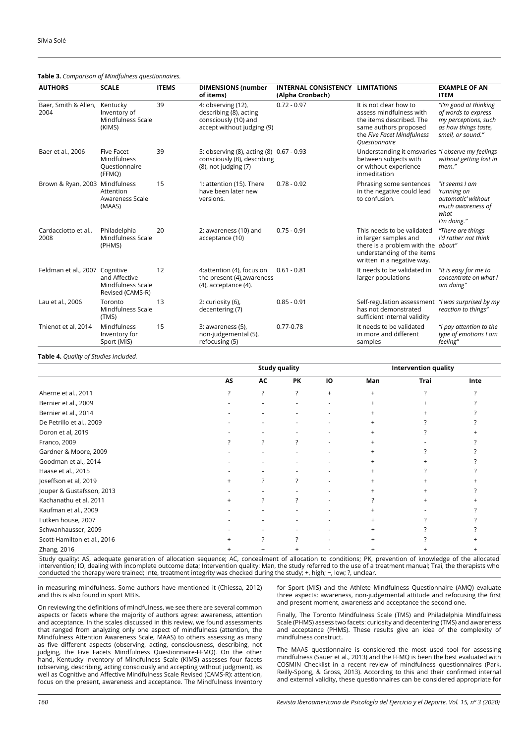| <b>AUTHORS</b>                 | <b>SCALE</b>                                                | <b>ITEMS</b> | <b>DIMENSIONS (number</b><br>of items)                                                               | <b>INTERNAL CONSISTENCY LIMITATIONS</b><br>(Alpha Cronbach) |                                                                                                                                                              | <b>EXAMPLE OF AN</b><br><b>ITEM</b>                                                                               |
|--------------------------------|-------------------------------------------------------------|--------------|------------------------------------------------------------------------------------------------------|-------------------------------------------------------------|--------------------------------------------------------------------------------------------------------------------------------------------------------------|-------------------------------------------------------------------------------------------------------------------|
| Baer, Smith & Allen,<br>2004   | Kentucky<br>Inventory of<br>Mindfulness Scale<br>(KIMS)     | 39           | 4: observing (12),<br>describing (8), acting<br>consciously (10) and<br>accept without judging (9)   | $0.72 - 0.97$                                               | It is not clear how to<br>assess mindfulness with<br>the items described. The<br>same authors proposed<br>the Five Facet Mindfulness<br><b>Ouestionnaire</b> | "I'm good at thinking<br>of words to express<br>my perceptions, such<br>as how things taste,<br>smell, or sound." |
| Baer et al., 2006              | <b>Five Facet</b><br>Mindfulness<br>Questionnaire<br>(FFMQ) | 39           | 5: observing (8), acting (8) 0.67 - 0.93<br>consciously (8), describing<br>$(8)$ , not judging $(7)$ |                                                             | Understanding it emsvaries "I observe my feelings<br>between subjects with<br>or without experience<br>inmeditation                                          | without getting lost in<br>them."                                                                                 |
| Brown & Ryan, 2003 Mindfulness | Attention<br>Awareness Scale<br>(MAAS)                      | 15           | 1: attention (15). There<br>have been later new<br>versions.                                         | $0.78 - 0.92$                                               | Phrasing some sentences<br>in the negative could lead<br>to confusion.                                                                                       | "It seems I am<br>'running on<br>automatic' without<br>much awareness of<br>what<br>I'm doing."                   |
| Cardacciotto et al.,<br>2008   | Philadelphia<br>Mindfulness Scale<br>(PHMS)                 | 20           | 2: awareness (10) and<br>acceptance (10)                                                             | $0.75 - 0.91$                                               | This needs to be validated<br>in larger samples and<br>there is a problem with the about"<br>understanding of the items<br>written in a negative way.        | "There are things<br>I'd rather not think                                                                         |
| Feldman et al., 2007 Cognitive | and Affective<br>Mindfulness Scale<br>Revised (CAMS-R)      | 12           | 4:attention (4), focus on<br>the present (4), awareness<br>$(4)$ , acceptance $(4)$ .                | $0.61 - 0.81$                                               | It needs to be validated in<br>larger populations                                                                                                            | "It is easy for me to<br>concentrate on what I<br>am doing"                                                       |
| Lau et al., 2006               | Toronto<br>Mindfulness Scale<br>(TMS)                       | 13           | 2: curiosity (6),<br>decentering (7)                                                                 | $0.85 - 0.91$                                               | Self-regulation assessment<br>has not demonstrated<br>sufficient internal validity                                                                           | "I was surprised by my<br>reaction to things"                                                                     |
| Thienot et al, 2014            | Mindfulness<br>Inventory for<br>Sport (MIS)                 | 15           | 3: awareness (5),<br>non-judgemental (5),<br>refocusing (5)                                          | $0.77 - 0.78$                                               | It needs to be validated<br>in more and different<br>samples                                                                                                 | "I pay attention to the<br>type of emotions I am<br>feeling"                                                      |

## **Table 3.** *Comparison of Mindfulness questionnaires.*

# **Table 4.** *Quality of Studies Included.*

|                             | <b>Study quality</b> |           |    |                          | <b>Intervention quality</b> |      |      |  |
|-----------------------------|----------------------|-----------|----|--------------------------|-----------------------------|------|------|--|
|                             | AS                   | AC        | PK | 10                       | Man                         | Trai | Inte |  |
| Aherne et al., 2011         | ?                    | ?         | ?  | $+$                      | $\ddot{}$                   |      |      |  |
| Bernier et al., 2009        |                      |           |    | ٠                        |                             |      |      |  |
| Bernier et al., 2014        |                      |           |    |                          |                             |      |      |  |
| De Petrillo et al., 2009    |                      |           |    |                          |                             |      |      |  |
| Doron et al, 2019           |                      |           |    |                          |                             |      |      |  |
| Franco, 2009                |                      | ?         |    | ٠                        | $\ddot{}$                   |      |      |  |
| Gardner & Moore, 2009       |                      |           |    |                          | $\pm$                       |      |      |  |
| Goodman et al., 2014        |                      |           |    |                          | $\ddot{}$                   |      |      |  |
| Haase et al., 2015          |                      |           |    |                          | $\ddot{}$                   |      |      |  |
| Joseffson et al, 2019       | $\ddot{}$            | ?         | 7  | $\overline{\phantom{a}}$ | $+$                         |      |      |  |
| Jouper & Gustafsson, 2013   |                      |           |    |                          | $\ddot{}$                   |      |      |  |
| Kachanathu et al, 2011      | $\pm$                | 2         | 7  | $\overline{\phantom{a}}$ |                             |      |      |  |
| Kaufman et al., 2009        |                      |           |    |                          |                             |      |      |  |
| Lutken house, 2007          |                      |           |    |                          |                             |      |      |  |
| Schwanhausser, 2009         |                      |           |    |                          |                             |      |      |  |
| Scott-Hamilton et al., 2016 |                      |           |    |                          |                             |      |      |  |
| Zhang, 2016                 |                      | $\ddot{}$ |    |                          |                             |      |      |  |

Study quality: AS, adequate generation of allocation sequence; AC, concealment of allocation to conditions; PK, prevention of knowledge of the allocated intervention; IO, dealing with incomplete outcome data; Intervention quality: Man, the study referred to the use of a treatment manual; Trai, the therapists who<br>conducted the therapy were trained; Inte, treatment integrity

in measuring mindfulness. Some authors have mentioned it (Chiessa, 2012) and this is also found in sport MBIs.

On reviewing the definitions of mindfulness, we see there are several common aspects or facets where the majority of authors agree: awareness, attention and acceptance. In the scales discussed in this review, we found assessments that ranged from analyzing only one aspect of mindfulness (attention, the Mindfulness Attention Awareness Scale, MAAS) to others assessing as many as five different aspects (observing, acting, consciousness, describing, not judging, the Five Facets Mindfulness Questionnaire-FFMQ). On the other hand, Kentucky Inventory of Mindfulness Scale (KIMS) assesses four facets (observing, describing, acting consciously and accepting without judgment), as well as Cognitive and Affective Mindfulness Scale Revised (CAMS-R): attention, focus on the present, awareness and acceptance. The Mindfulness Inventory

for Sport (MIS) and the Athlete Mindfulness Questionnaire (AMQ) evaluate three aspects: awareness, non-judgemental attitude and refocusing the first and present moment, awareness and acceptance the second one.

Finally, The Toronto Mindfulness Scale (TMS) and Philadelphia Mindfulness Scale (PHMS) assess two facets: curiosity and decentering (TMS) and awareness and acceptance (PHMS). These results give an idea of the complexity of mindfulness construct.

The MAAS questionnaire is considered the most used tool for assessing mindfulness (Sauer et al., 2013) and the FFMQ is been the best evaluated with COSMIN Checklist in a recent review of mindfulness questionnaires (Park, Reilly-Spong, & Gross, 2013). According to this and their confirmed internal and external validity, these questionnaires can be considered appropriate for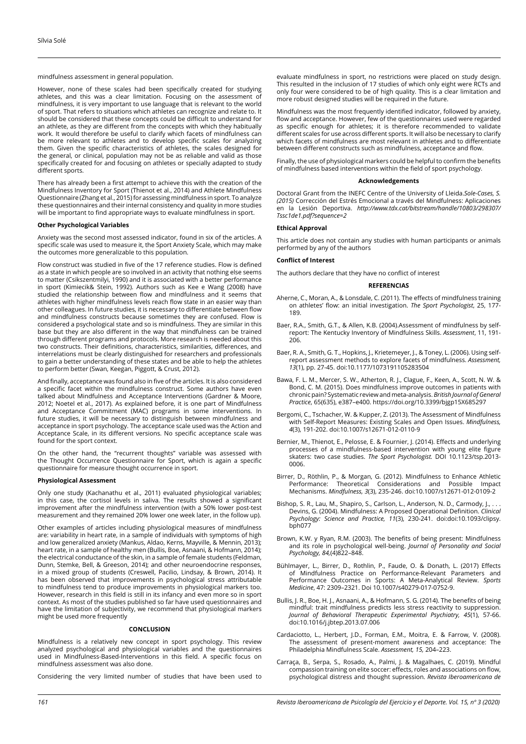mindfulness assessment in general population.

However, none of these scales had been specifically created for studying athletes, and this was a clear limitation. Focusing on the assessment of mindfulness, it is very important to use language that is relevant to the world of sport. That refers to situations which athletes can recognize and relate to. It should be considered that these concepts could be difficult to understand for an athlete, as they are different from the concepts with which they habitually work. It would therefore be useful to clarify which facets of mindfulness can be more relevant to athletes and to develop specific scales for analyzing them. Given the specific characteristics of athletes, the scales designed for the general, or clinical, population may not be as reliable and valid as those specifically created for and focusing on athletes or specially adapted to study different sports.

There has already been a first attempt to achieve this with the creation of the Mindfulness Inventory for Sport (Thienot et al., 2014) and Athlete Mindfulness Questionnaire (Zhang et al., 2015) for assessing mindfulness in sport. To analyze these questionnaires and their internal consistency and quality in more studies will be important to find appropriate ways to evaluate mindfulness in sport.

## **Other Psychological Variables**

Anxiety was the second most assessed indicator, found in six of the articles. A specific scale was used to measure it, the Sport Anxiety Scale, which may make the outcomes more generalizable to this population.

Flow construct was studied in five of the 17 reference studies. Flow is defined as a state in which people are so involved in an activity that nothing else seems to matter (Csikszentmilyi, 1990) and it is associated with a better performance in sport (Kimiecik& Stein, 1992). Authors such as Kee e Wang (2008) have studied the relationship between flow and mindfulness and it seems that athletes with higher mindfulness levels reach flow state in an easier way than other colleagues. In future studies, it is necessary to differentiate between flow and mindfulness constructs because sometimes they are confused. Flow is considered a psychological state and so is mindfulness. They are similar in this base but they are also different in the way that mindfulness can be trained through different programs and protocols. More research is needed about this two constructs. Their definitions, characteristics, similarities, differences, and interrelations must be clearly distinguished for researchers and professionals to gain a better understanding of these states and be able to help the athletes to perform better (Swan, Keegan, Piggott, & Crust, 2012).

And finally, acceptance was found also in five of the articles. It is also considered a specific facet within the mindfulness construct. Some authors have even talked about Mindfulness and Acceptance Interventions (Gardner & Moore, 2012; Noetel et al., 2017). As explained before, it is one part of Mindfulness and Acceptance Commitment (MAC) programs in some interventions. In future studies, it will be necessary to distinguish between mindfulness and acceptance in sport psychology. The acceptance scale used was the Action and Acceptance Scale, in its different versions. No specific acceptance scale was found for the sport context.

On the other hand, the "recurrent thoughts" variable was assessed with the Thought Occurrence Questionnaire for Sport, which is again a specific questionnaire for measure thought occurrence in sport.

## **Physiological Assessment**

Only one study (Kachanathu et al., 2011) evaluated physiological variables; in this case, the cortisol levels in saliva. The results showed a significant improvement after the mindfulness intervention (with a 50% lower post-test measurement and they remained 20% lower one week later, in the follow up).

Other examples of articles including physiological measures of mindfulness are: variability in heart rate, in a sample of individuals with symptoms of high and low generalized anxiety (Mankus, Aldao, Kerns, Mayville, & Mennin, 2013); heart rate, in a sample of healthy men (Bullis, Boe, Asnaani, & Hofmann, 2014); the electrical conductance of the skin, in a sample of female students (Feldman, Dunn, Stemke, Bell, & Greeson, 2014); and other neuroendocrine responses, in a mixed group of students (Creswell, Pacilio, Lindsay, & Brown, 2014). It has been observed that improvements in psychological stress attributable to mindfulness tend to produce improvements in physiological markers too. However, research in this field is still in its infancy and even more so in sport context. As most of the studies published so far have used questionnaires and have the limitation of subjectivity, we recommend that physiological markers might be used more frequently

#### **CONCLUSION**

Mindfulness is a relatively new concept in sport psychology. This review analyzed psychological and physiological variables and the questionnaires used in Mindfulness-Based-Interventions in this field. A specific focus on mindfulness assessment was also done.

Considering the very limited number of studies that have been used to

evaluate mindfulness in sport, no restrictions were placed on study design. This resulted in the inclusion of 17 studies of which only eight were RCTs and only four were considered to be of high quality. This is a clear limitation and more robust designed studies will be required in the future.

Mindfulness was the most frequently identified indicator, followed by anxiety, flow and acceptance. However, few of the questionnaires used were regarded as specific enough for athletes; it is therefore recommended to validate different scales for use across different sports. It will also be necessary to clarify which facets of mindfulness are most relevant in athletes and to differentiate between different constructs such as mindfulness, acceptance and flow.

Finally, the use of physiological markers could be helpful to confirm the benefits of mindfulness based interventions within the field of sport psychology.

## **Acknowledgements**

Doctoral Grant from the INEFC Centre of the University of Lleida.*Sole-Cases, S. (2015)* Corrección del Estrés Emocional a través del Mindfulness: Aplicaciones en la Lesión Deportiva. *[http://www.tdx.cat/bitstream/handle/10803/298307/](http://www.tdx.cat/bitstream/handle/10803/298307/Tssc1de1.pdf?sequence=2) [Tssc1de1.pdf?sequence=2](http://www.tdx.cat/bitstream/handle/10803/298307/Tssc1de1.pdf?sequence=2)*

## **Ethical Approval**

This article does not contain any studies with human participants or animals performed by any of the authors

## **Conflict of Interest**

The authors declare that they have no conflict of interest

## **REFERENCIAS**

- Aherne, C., Moran, A., & Lonsdale, C. (2011). The effects of mindfulness training on athletes' flow: an initial investigation. *The Sport Psychologist*, 25, 177- 189.
- Baer, R.A., Smith, G.T., & Allen, K.B. (2004).Assessment of mindfulness by selfreport: The Kentucky Inventory of Mindfulness Skills. *Assessment*, 11, 191- 206.
- Baer, R. A., Smith, G. T., Hopkins, J., Krietemeyer, J., & Toney, L. (2006). Using selfreport assessment methods to explore facets of mindfulness. *Assessment, 13*(1), pp. 27-45. doi:10.1177/1073191105283504
- Bawa, F. L. M., Mercer, S. W., Atherton, R. J., Clague, F., Keen, A., Scott, N. W. & Bond, C. M. (2015). Does mindfulness improve outcomes in patients with chronic pain? Systematic review and meta-analysis. *British Journal of General Practice*, 65(635), e387–e400. https://doi.org/10.3399/bjgp15X685297
- Bergomi, C., Tschacher, W. & Kupper, Z. (2013). The Assessment of Mindfulness with Self-Report Measures: Existing Scales and Open Issues. *Mindfulness, 4*(3), 191-202. doi:10.1007/s12671-012-0110-9
- Bernier, M., Thienot, E., Pelosse, E. & Fournier, J. (2014). Effects and underlying processes of a mindfulness-based intervention with young elite figure skaters: two case studies. *The Sport Psychologist.* DOI 10.1123/tsp.2013- 0006.
- Birrer, D., Röthlin, P., & Morgan, G. (2012). Mindfulness to Enhance Athletic Performance: Theoretical Considerations and Possible Impact Mechanisms. *Mindfulness, 3*(3), 235-246. doi:10.1007/s12671-012-0109-2
- Bishop, S. R., Lau, M., Shapiro, S., Carlson, L., Anderson, N. D., Carmody, J., . Devins, G. (2004). Mindfulness: A Proposed Operational Definition. *Clinical Psychology: Science and Practice, 11*(3), 230-241. doi:doi:10.1093/clipsy.  $b$ nh $077$
- Brown, K.W. y Ryan, R.M. (2003). The benefits of being present: Mindfulness and its role in psychological well-being. *Journal of Personality and Social Psychology, 84,*(4)822–848.
- Bühlmayer, L., Birrer, D., Rothlin, P., Faude, O. & Donath, L. (2017) Effects of Mindfulness Practice on Performance-Relevant Parameters and Performance Outcomes in Sports: A Meta-Analytical Review. *Sports Medicine*, 47: 2309–2321. Doi 10.1007/s40279-017-0752-9.
- Bullis, J. R., Boe, H. J., Asnaani, A., & Hofmann, S. G. (2014). The benefits of being mindful: trait mindfulness predicts less stress reactivity to suppression. *Journal of Behavioral Therapeutic Experimental Psychiatry, 45*(1), 57-66. doi:10.1016/j.jbtep.2013.07.006
- Cardaciotto, L., Herbert, J.D., Forman, E.M., Moitra, E. & Farrow, V. (2008). The assessment of present-moment awareness and acceptance: The Philadelphia Mindfulness Scale. *Assessment, 15,* 204–223.
- Carraça, B., Serpa, S., Rosado, A., Palmi, J. & Magalhaes, C. (2019). Mindful compassion training on elite soccer: effects, roles and associations on flow, psychological distress and thought supression. *Revista Iberoamericana de*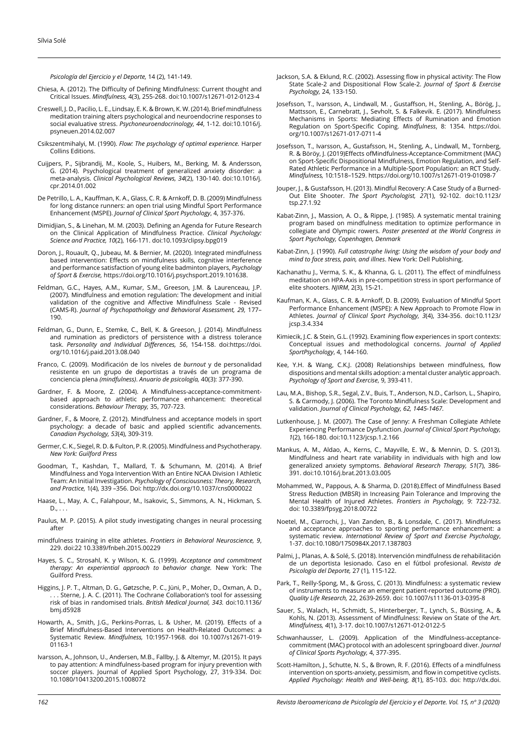*Psicología del Ejercicio y el Deporte,* 14 (2), 141-149.

- Chiesa, A. (2012). The Difficulty of Defining Mindfulness: Current thought and Critical Issues. *Mindfulness,* 4(3), 255-268. doi:10.1007/s12671-012-0123-4
- Creswell, J. D., Pacilio, L. E., Lindsay, E. K. & Brown, K. W. (2014). Brief mindfulness meditation training alters psychological and neuroendocrine responses to social evaluative stress. *Psychoneuroendocrinology, 44*, 1-12. doi:10.1016/j. psyneuen.2014.02.007
- Csikszentmihalyi, M. (1990). *Flow: The psychology of optimal experience.* Harper Collins Editions.
- Cuijpers, P., Sijbrandij, M., Koole, S., Huibers, M., Berking, M. & Andersson, G. (2014). Psychological treatment of generalized anxiety disorder: a meta-analysis. *Clinical Psychological Reviews, 34*(2), 130-140. doi:10.1016/j. cpr.2014.01.002
- De Petrillo, L. A., Kauffman, K. A., Glass, C. R. & Arnkoff, D. B. (2009) Mindfulness for long distance runners: an open trial using Mindful Sport Performance Enhancement (MSPE). *Journal of Clinical Sport Psychology*, 4, 357-376.
- Dimidjian, S., & Linehan, M. M. (2003). Defining an Agenda for Future Research on the Clinical Application of Mindfulness Practice. *Clinical Psychology: Science and Practice, 10*(2), 166-171. doi:10.1093/clipsy.bpg019
- Doron, J., Rouault, Q., Jubeau, M. & Bernier, M. (2020). Integrated mindfulness based intervention: Effects on mindfulness skills, cognitive interference and performance satisfaction of young elite badminton players, *Psychology of Sport & Exercise,* https://doi.org/10.1016/j.psychsport.2019.101638.
- Feldman, G.C., Hayes, A.M., Kumar, S.M., Greeson, J.M. & Laurenceau, J.P. (2007). Mindfulness and emotion regulation: The development and initial validation of the cognitive and Affective Mindfulness Scale - Revised (CAMS-R). *Journal of Psychopathology and Behavioral Assessment, 29,* 177– 190.
- Feldman, G., Dunn, E., Stemke, C., Bell, K. & Greeson, J. (2014). Mindfulness and rumination as predictors of persistence with a distress tolerance task. *Personality and Individual Differences, 56*, 154-158. doi[:https://doi.](https://doi.org/10.1016/j.paid.2013.08.040) [org/10.1016/j.paid.2013.08.040](https://doi.org/10.1016/j.paid.2013.08.040)
- Franco, C. (2009). Modificación de los niveles de *burnout* y de personalidad resistente en un grupo de deportistas a través de un programa de conciencia plena *(mindfulness)*. *Anuario de psicología,* 40(3): 377-390.
- Gardner, F. & Moore, Z. (2004). A Mindfulness-acceptance-commitmentbased approach to athletic performance enhancement: theoretical considerations. *Behaviour Therapy,* 35, 707-723.
- Gardner, F., & Moore, Z. (2012). Mindfulness and acceptance models in sport psychology: a decade of basic and applied scientific advancements. *Canadian Psychology, 53*(4), 309-319.
- Germer, C. K., Siegel, R. D. & Fulton, P. R. (2005). Mindfulness and Psychotherapy. *New York: Guilford Press*
- Goodman, T., Kashdan, T., Mallard, T. & Schumann, M. (2014). A Brief Mindfulness and Yoga Intervention With an Entire NCAA Division I Athletic Team: An Initial Investigation. *Psychology of Consciousness: Theory, Research, and Practice,* 1(4), 339 –356. Doi: http://dx.doi.org/10.1037/cns0000022
- Haase, L., May, A. C., Falahpour, M., Isakovic, S., Simmons, A. N., Hickman, S.  $D...$ .
- Paulus, M. P. (2015). A pilot study investigating changes in neural processing after
- mindfulness training in elite athletes. *Frontiers in Behavioral Neuroscience, 9*, 229. doi:22 10.3389/fnbeh.2015.00229
- Hayes, S. C., Strosahl, K. y Wilson, K. G. (1999). *Acceptance and commitment therapy: An experiential approach to behavior change.* New York: The Guilford Press.
- Higgins, J. P. T., Altman, D. G., Gøtzsche, P. C., Jüni, P., Moher, D., Oxman, A. D., . . Sterne, J. A. C. (2011). The Cochrane Collaboration's tool for assessing risk of bias in randomised trials. *British Medical Journal, 343.* doi:10.1136/ bmj.d5928
- Howarth, A., Smith, J.G., Perkins-Porras, L. & Usher, M. (2019). Effects of a Brief Mindfulness-Based Interventions on Health-Related Outcomes: a Systematic Review. *Mindfulness,* 10:1957-1968. doi 10.1007/s12671-019- 01163-1
- Ivarsson, A., Johnson, U., Andersen, M.B., Fallby, J. & Altemyr, M. (2015). It pays to pay attention: A mindfulness-based program for injury prevention with soccer players. Journal of Applied Sport Psychology, 27, 319-334. Doi: 10.1080/10413200.2015.1008072
- Jackson, S.A. & Eklund, R.C. (2002). Assessing flow in physical activity: The Flow State Scale-2 and Dispositional Flow Scale-2. *Journal of Sport & Exercise Psychology,* 24, 133-150.
- Josefsson, T., Ivarsson, A., Lindwall, M. , Gustaffson, H., Stenling, A., Börög, J., Mattsson, E., Carnebratt, J., Sevholt, S. & Falkevik. E. (2017). Mindfulness Mechanisms in Sports: Mediating Effects of Rumination and Emotion Regulation on Sport-Specific Coping. *Mindfulness*, 8: 1354. https://doi. org/10.1007/s12671-017-0711-4
- Josefsson, T., Ivarsson, A., Gustafsson, H., Stenling, A., Lindwall, M., Tornberg, R. & Böröy, J. (2019)Effects ofMindfulness-Acceptance-Commitment (MAC) on Sport-Specific Dispositional Mindfulness, Emotion Regulation, and Self-Rated Athletic Performance in a Multiple-Sport Population: an RCT Study. *Mindfulness,* 10:1518–1529. https://doi.org/10.1007/s12671-019-01098-7
- Jouper, J., & Gustafsson, H. (2013). Mindful Recovery: A Case Study of a Burned-Out Elite Shooter. *The Sport Psychologist, 27*(1), 92-102. doi:10.1123/ tsp.27.1.92
- Kabat-Zinn, J., Massion, A. O., & Rippe, J. (1985). A systematic mental training program based on mindfulness meditation to optimize performance in collegiate and Olympic rowers. *Poster presented at the World Congress in Sport Psychology, Copenhagen, Denmark*
- Kabat-Zinn, J. (1990). *Full catastrophe living: Using the wisdom of your body and mind to face stress, pain, and illnes*. New York: Dell Publishing.
- Kachanathu J., Verma, S. K., & Khanna, G. L. (2011). The effect of mindfulness meditation on HPA-Axis in pre-competition stress in sport performance of elite shooters. *NJIRM*, 2(3), 15-21.
- Kaufman, K. A., Glass, C. R. & Arnkoff, D. B. (2009). Evaluation of Mindful Sport Performance Enhancement (MSPE): A New Approach to Promote Flow in Athletes. *Journal of Clinical Sport Psychology, 3*(4), 334-356. doi:10.1123/ jcsp.3.4.334
- Kimiecik, J.C. & Stein, G.L. (1992). Examining flow experiences in sport contexts: Conceptual issues and methodological concerns. *Journal of Applied SportPsychology*, 4, 144-160.
- Kee, Y.H. & Wang, C.K.J. (2008) Relationships between mindfulness, flow dispositions and mental skills adoption: a mental cluster analytic approach. *Psychology of Sport and Exercise*, 9, 393-411.
- Lau, M.A., Bishop, S.R., Segal, Z.V., Buis, T., Anderson, N.D., Carlson, L., Shapiro, S. & Carmody, J. (2006). The Toronto Mindfulness Scale: Development and validation. *Journal of Clinical Psychology, 62, 1445-1467.*
- Lutkenhouse, J. M. (2007). The Case of Jenny: A Freshman Collegiate Athlete Experiencing Performance Dysfunction. *Journal of Clinical Sport Psychology, 1*(2), 166-180. doi:10.1123/jcsp.1.2.166
- Mankus, A. M., Aldao, A., Kerns, C., Mayville, E. W., & Mennin, D. S. (2013). Mindfulness and heart rate variability in individuals with high and low generalized anxiety symptoms. *Behavioral Research Therapy, 51*(7), 386- 391. doi:10.1016/j.brat.2013.03.005
- Mohammed, W., Pappous, A. & Sharma, D. (2018).Effect of Mindfulness Based Stress Reduction (MBSR) in Increasing Pain Tolerance and Improving the Mental Health of Injured Athletes. *Frontiers in Psychology,* 9: 722-732. doi: [10.3389/fpsyg.2018.00722](https://dx.doi.org/10.3389%2Ffpsyg.2018.00722)
- Noetel, M., Ciarrochi, J., Van Zanden, B., & Lonsdale, C. (2017). Mindfulness and acceptance approaches to sporting performance enhancement: a systematic review. *International Review of Sport and Exercise Psychology*, 1-37. doi:10.1080/1750984X.2017.1387803
- Palmi, J., Planas, A. & Solé, S. (2018). Intervención mindfulness de rehabilitación de un deportista lesionado. Caso en el fútbol profesional. *Revista de Psicología del Deporte,* 27 (1), 115-122.
- Park, T., Reilly-Spong, M., & Gross, C. (2013). Mindfulness: a systematic review of instruments to measure an emergent patient-reported outcome (PRO). *Quality Life Research,* 22, 2639-2659. doi: 10.1007/s11136-013-0395-8
- Sauer, S., Walach, H., Schmidt, S., Hinterberger, T., Lynch, S., Büssing, A., & Kohls, N. (2013). Assessment of Mindfulness: Review on State of the Art. *Mindfulness, 4*(1), 3-17. doi:10.1007/s12671-012-0122-5
- Schwanhausser, L. (2009). Application of the Mindfulness-acceptancecommitment (MAC) protocol with an adolescent springboard diver. *Journal of Clinical Sports Psychology,* 4, 377-395.
- Scott-Hamilton, J., Schutte, N. S., & Brown, R. F. (2016). Effects of a mindfulness intervention on sports-anxiety, pessimism, and flow in competitive cyclists. *Applied Psychology: Health and Well-being, 8*(1), 85-103. doi: http://dx.doi.